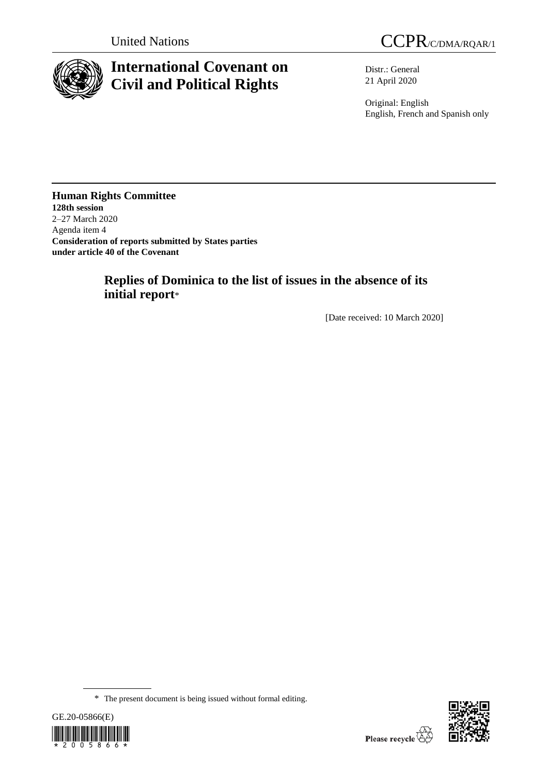

# **International Covenant on Civil and Political Rights**

United Nations CCPR/C/DMA/RQAR/1

Distr.: General 21 April 2020

Original: English English, French and Spanish only

**Human Rights Committee 128th session** 2–27 March 2020 Agenda item 4 **Consideration of reports submitted by States parties under article 40 of the Covenant**

# **Replies of Dominica to the list of issues in the absence of its initial report**\*

[Date received: 10 March 2020]

<sup>\*</sup> The present document is being issued without formal editing.



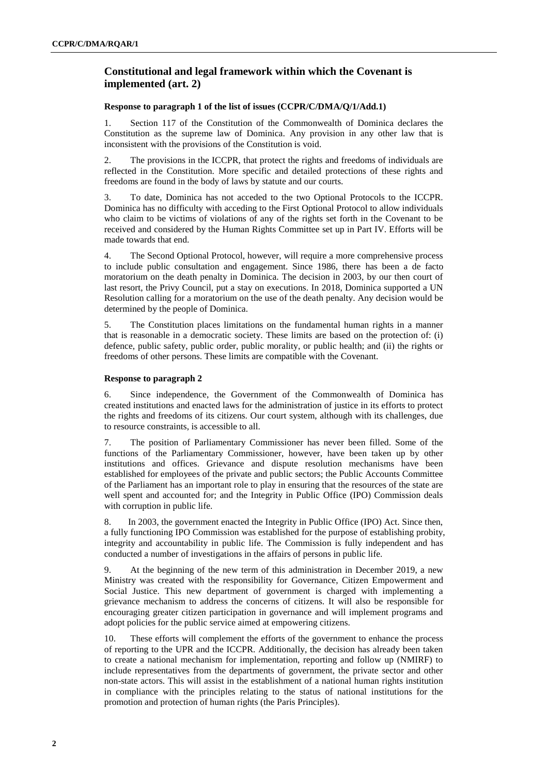# **Constitutional and legal framework within which the Covenant is implemented (art. 2)**

## **Response to paragraph 1 of the list of issues (CCPR/C/DMA/Q/1/Add.1)**

1. Section 117 of the Constitution of the Commonwealth of Dominica declares the Constitution as the supreme law of Dominica. Any provision in any other law that is inconsistent with the provisions of the Constitution is void.

2. The provisions in the ICCPR, that protect the rights and freedoms of individuals are reflected in the Constitution. More specific and detailed protections of these rights and freedoms are found in the body of laws by statute and our courts.

3. To date, Dominica has not acceded to the two Optional Protocols to the ICCPR. Dominica has no difficulty with acceding to the First Optional Protocol to allow individuals who claim to be victims of violations of any of the rights set forth in the Covenant to be received and considered by the Human Rights Committee set up in Part IV. Efforts will be made towards that end.

4. The Second Optional Protocol, however, will require a more comprehensive process to include public consultation and engagement. Since 1986, there has been a de facto moratorium on the death penalty in Dominica. The decision in 2003, by our then court of last resort, the Privy Council, put a stay on executions. In 2018, Dominica supported a UN Resolution calling for a moratorium on the use of the death penalty. Any decision would be determined by the people of Dominica.

5. The Constitution places limitations on the fundamental human rights in a manner that is reasonable in a democratic society. These limits are based on the protection of: (i) defence, public safety, public order, public morality, or public health; and (ii) the rights or freedoms of other persons. These limits are compatible with the Covenant.

## **Response to paragraph 2**

6. Since independence, the Government of the Commonwealth of Dominica has created institutions and enacted laws for the administration of justice in its efforts to protect the rights and freedoms of its citizens. Our court system, although with its challenges, due to resource constraints, is accessible to all.

7. The position of Parliamentary Commissioner has never been filled. Some of the functions of the Parliamentary Commissioner, however, have been taken up by other institutions and offices. Grievance and dispute resolution mechanisms have been established for employees of the private and public sectors; the Public Accounts Committee of the Parliament has an important role to play in ensuring that the resources of the state are well spent and accounted for; and the Integrity in Public Office (IPO) Commission deals with corruption in public life.

8. In 2003, the government enacted the Integrity in Public Office (IPO) Act. Since then, a fully functioning IPO Commission was established for the purpose of establishing probity, integrity and accountability in public life. The Commission is fully independent and has conducted a number of investigations in the affairs of persons in public life.

9. At the beginning of the new term of this administration in December 2019, a new Ministry was created with the responsibility for [Governance, Citizen Empowerment and](http://familyaffairs.gov.dm/)  [Social Justice.](http://familyaffairs.gov.dm/) This new department of government is charged with implementing a grievance mechanism to address the concerns of citizens. It will also be responsible for encouraging greater citizen participation in governance and will implement programs and adopt policies for the public service aimed at empowering citizens.

10. These efforts will complement the efforts of the government to enhance the process of reporting to the UPR and the ICCPR. Additionally, the decision has already been taken to create a national mechanism for implementation, reporting and follow up (NMIRF) to include representatives from the departments of government, the private sector and other non-state actors. This will assist in the establishment of a national human rights institution in compliance with the principles relating to the status of national institutions for the promotion and protection of human rights (the Paris Principles).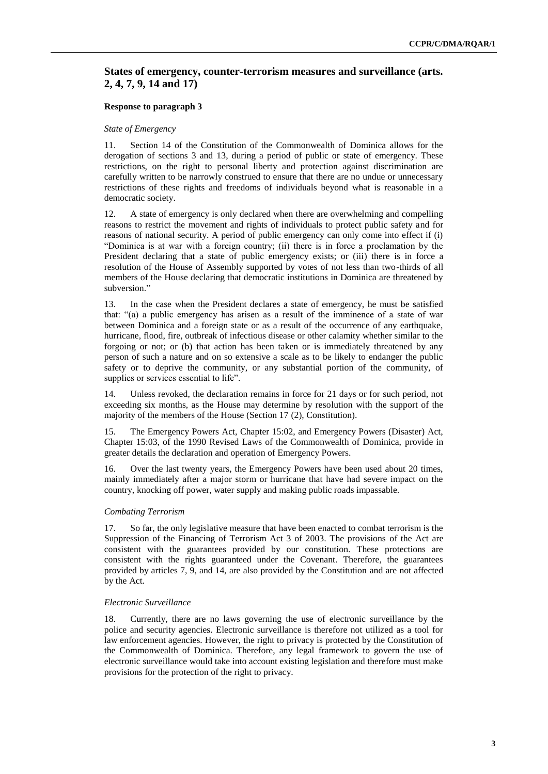# **States of emergency, counter-terrorism measures and surveillance (arts. 2, 4, 7, 9, 14 and 17)**

#### **Response to paragraph 3**

#### *State of Emergency*

11. Section 14 of the Constitution of the Commonwealth of Dominica allows for the derogation of sections 3 and 13, during a period of public or state of emergency. These restrictions, on the right to personal liberty and protection against discrimination are carefully written to be narrowly construed to ensure that there are no undue or unnecessary restrictions of these rights and freedoms of individuals beyond what is reasonable in a democratic society.

12. A state of emergency is only declared when there are overwhelming and compelling reasons to restrict the movement and rights of individuals to protect public safety and for reasons of national security. A period of public emergency can only come into effect if (i) "Dominica is at war with a foreign country; (ii) there is in force a proclamation by the President declaring that a state of public emergency exists; or (iii) there is in force a resolution of the House of Assembly supported by votes of not less than two-thirds of all members of the House declaring that democratic institutions in Dominica are threatened by subversion."

13. In the case when the President declares a state of emergency, he must be satisfied that: "(a) a public emergency has arisen as a result of the imminence of a state of war between Dominica and a foreign state or as a result of the occurrence of any earthquake, hurricane, flood, fire, outbreak of infectious disease or other calamity whether similar to the forgoing or not; or (b) that action has been taken or is immediately threatened by any person of such a nature and on so extensive a scale as to be likely to endanger the public safety or to deprive the community, or any substantial portion of the community, of supplies or services essential to life".

14. Unless revoked, the declaration remains in force for 21 days or for such period, not exceeding six months, as the House may determine by resolution with the support of the majority of the members of the House (Section 17 (2), Constitution).

15. The Emergency Powers Act, Chapter 15:02, and Emergency Powers (Disaster) Act, Chapter 15:03, of the 1990 Revised Laws of the Commonwealth of Dominica, provide in greater details the declaration and operation of Emergency Powers.

16. Over the last twenty years, the Emergency Powers have been used about 20 times, mainly immediately after a major storm or hurricane that have had severe impact on the country, knocking off power, water supply and making public roads impassable.

## *Combating Terrorism*

17. So far, the only legislative measure that have been enacted to combat terrorism is the Suppression of the Financing of Terrorism Act 3 of 2003. The provisions of the Act are consistent with the guarantees provided by our constitution. These protections are consistent with the rights guaranteed under the Covenant. Therefore, the guarantees provided by articles 7, 9, and 14, are also provided by the Constitution and are not affected by the Act.

#### *Electronic Surveillance*

18. Currently, there are no laws governing the use of electronic surveillance by the police and security agencies. Electronic surveillance is therefore not utilized as a tool for law enforcement agencies. However, the right to privacy is protected by the Constitution of the Commonwealth of Dominica. Therefore, any legal framework to govern the use of electronic surveillance would take into account existing legislation and therefore must make provisions for the protection of the right to privacy.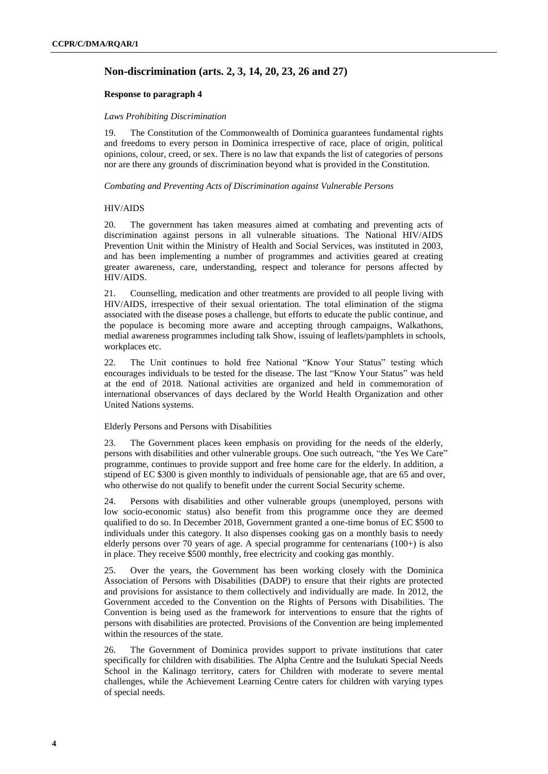# **Non-discrimination (arts. 2, 3, 14, 20, 23, 26 and 27)**

## **Response to paragraph 4**

## *Laws Prohibiting Discrimination*

19. The Constitution of the Commonwealth of Dominica guarantees fundamental rights and freedoms to every person in Dominica irrespective of race, place of origin, political opinions, colour, creed, or sex. There is no law that expands the list of categories of persons nor are there any grounds of discrimination beyond what is provided in the Constitution.

*Combating and Preventing Acts of Discrimination against Vulnerable Persons*

## HIV/AIDS

20. The government has taken measures aimed at combating and preventing acts of discrimination against persons in all vulnerable situations. The National HIV/AIDS Prevention Unit within the Ministry of Health and Social Services, was instituted in 2003, and has been implementing a number of programmes and activities geared at creating greater awareness, care, understanding, respect and tolerance for persons affected by HIV/AIDS.

21. Counselling, medication and other treatments are provided to all people living with HIV/AIDS, irrespective of their sexual orientation. The total elimination of the stigma associated with the disease poses a challenge, but efforts to educate the public continue, and the populace is becoming more aware and accepting through campaigns, Walkathons, medial awareness programmes including talk Show, issuing of leaflets/pamphlets in schools, workplaces etc.

22. The Unit continues to hold free National "Know Your Status" testing which encourages individuals to be tested for the disease. The last "Know Your Status" was held at the end of 2018. National activities are organized and held in commemoration of international observances of days declared by the World Health Organization and other United Nations systems.

## Elderly Persons and Persons with Disabilities

23. The Government places keen emphasis on providing for the needs of the elderly, persons with disabilities and other vulnerable groups. One such outreach, "the Yes We Care" programme, continues to provide support and free home care for the elderly. In addition, a stipend of EC \$300 is given monthly to individuals of pensionable age, that are 65 and over, who otherwise do not qualify to benefit under the current Social Security scheme.

24. Persons with disabilities and other vulnerable groups (unemployed, persons with low socio-economic status) also benefit from this programme once they are deemed qualified to do so. In December 2018, Government granted a one-time bonus of EC \$500 to individuals under this category. It also dispenses cooking gas on a monthly basis to needy elderly persons over 70 years of age. A special programme for centenarians (100+) is also in place. They receive \$500 monthly, free electricity and cooking gas monthly.

25. Over the years, the Government has been working closely with the Dominica Association of Persons with Disabilities (DADP) to ensure that their rights are protected and provisions for assistance to them collectively and individually are made. In 2012, the Government acceded to the Convention on the Rights of Persons with Disabilities. The Convention is being used as the framework for interventions to ensure that the rights of persons with disabilities are protected. Provisions of the Convention are being implemented within the resources of the state.

26. The Government of Dominica provides support to private institutions that cater specifically for children with disabilities. The Alpha Centre and the Isulukati Special Needs School in the Kalinago territory, caters for Children with moderate to severe mental challenges, while the Achievement Learning Centre caters for children with varying types of special needs.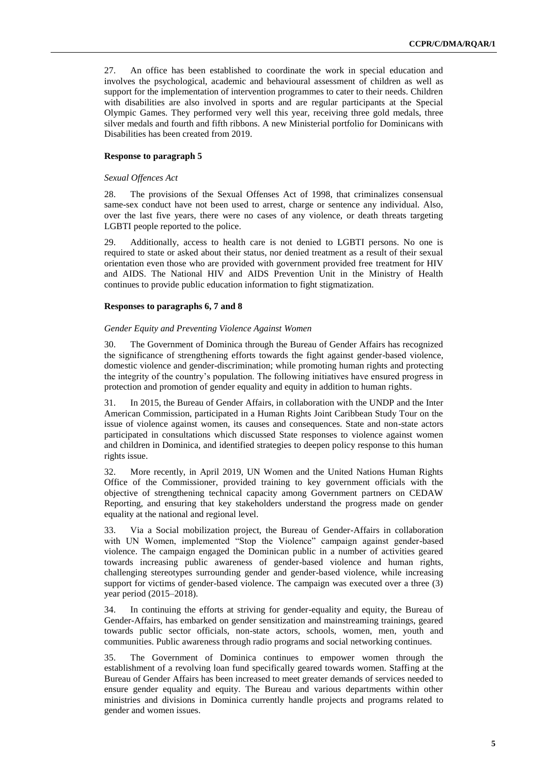27. An office has been established to coordinate the work in special education and involves the psychological, academic and behavioural assessment of children as well as support for the implementation of intervention programmes to cater to their needs. Children with disabilities are also involved in sports and are regular participants at the Special Olympic Games. They performed very well this year, receiving three gold medals, three silver medals and fourth and fifth ribbons. A new Ministerial portfolio for Dominicans with Disabilities has been created from 2019.

## **Response to paragraph 5**

#### *Sexual Offences Act*

28. The provisions of the Sexual Offenses Act of 1998, that criminalizes consensual same-sex conduct have not been used to arrest, charge or sentence any individual. Also, over the last five years, there were no cases of any violence, or death threats targeting LGBTI people reported to the police.

29. Additionally, access to health care is not denied to LGBTI persons. No one is required to state or asked about their status, nor denied treatment as a result of their sexual orientation even those who are provided with government provided free treatment for HIV and AIDS. The National HIV and AIDS Prevention Unit in the Ministry of Health continues to provide public education information to fight stigmatization.

## **Responses to paragraphs 6, 7 and 8**

#### *Gender Equity and Preventing Violence Against Women*

30. The Government of Dominica through the Bureau of Gender Affairs has recognized the significance of strengthening efforts towards the fight against gender-based violence, domestic violence and gender-discrimination; while promoting human rights and protecting the integrity of the country's population. The following initiatives have ensured progress in protection and promotion of gender equality and equity in addition to human rights.

31. In 2015, the Bureau of Gender Affairs, in collaboration with the UNDP and the Inter American Commission, participated in a Human Rights Joint Caribbean Study Tour on the issue of violence against women, its causes and consequences. State and non-state actors participated in consultations which discussed State responses to violence against women and children in Dominica, and identified strategies to deepen policy response to this human rights issue.

32. More recently, in April 2019, UN Women and the United Nations Human Rights Office of the Commissioner, provided training to key government officials with the objective of strengthening technical capacity among Government partners on CEDAW Reporting, and ensuring that key stakeholders understand the progress made on gender equality at the national and regional level.

33. Via a Social mobilization project, the Bureau of Gender-Affairs in collaboration with UN Women, implemented "Stop the Violence" campaign against gender-based violence. The campaign engaged the Dominican public in a number of activities geared towards increasing public awareness of gender-based violence and human rights, challenging stereotypes surrounding gender and gender-based violence, while increasing support for victims of gender-based violence. The campaign was executed over a three (3) year period (2015–2018).

34. In continuing the efforts at striving for gender-equality and equity, the Bureau of Gender-Affairs, has embarked on gender sensitization and mainstreaming trainings, geared towards public sector officials, non-state actors, schools, women, men, youth and communities. Public awareness through radio programs and social networking continues.

35. The Government of Dominica continues to empower women through the establishment of a revolving loan fund specifically geared towards women. Staffing at the Bureau of Gender Affairs has been increased to meet greater demands of services needed to ensure gender equality and equity. The Bureau and various departments within other ministries and divisions in Dominica currently handle projects and programs related to gender and women issues.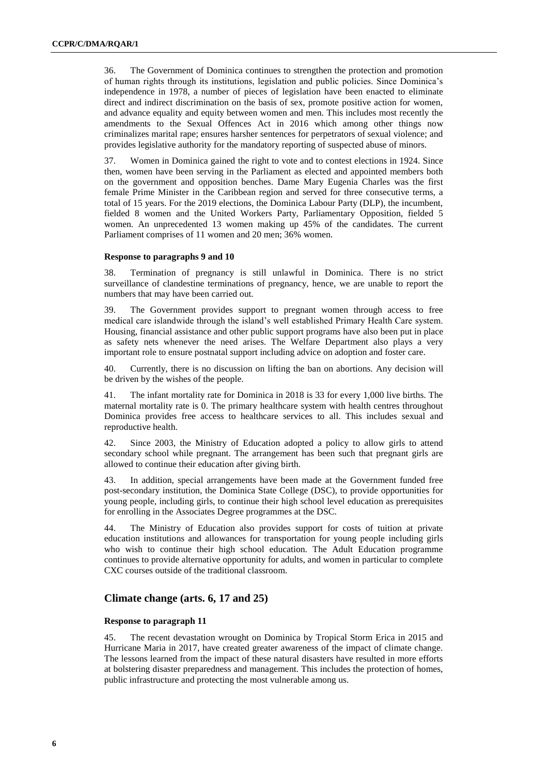36. The Government of Dominica continues to strengthen the protection and promotion of human rights through its institutions, legislation and public policies. Since Dominica's independence in 1978, a number of pieces of legislation have been enacted to eliminate direct and indirect discrimination on the basis of sex, promote positive action for women, and advance equality and equity between women and men. This includes most recently the amendments to the Sexual Offences Act in 2016 which among other things now criminalizes marital rape; ensures harsher sentences for perpetrators of sexual violence; and provides legislative authority for the mandatory reporting of suspected abuse of minors.

37. Women in Dominica gained the right to vote and to contest elections in 1924. Since then, women have been serving in the Parliament as elected and appointed members both on the government and opposition benches. Dame Mary Eugenia Charles was the first female Prime Minister in the Caribbean region and served for three consecutive terms, a total of 15 years. For the 2019 elections, the Dominica Labour Party (DLP), the incumbent, fielded 8 women and the United Workers Party, Parliamentary Opposition, fielded 5 women. An unprecedented 13 women making up 45% of the candidates. The current Parliament comprises of 11 women and 20 men; 36% women.

## **Response to paragraphs 9 and 10**

38. Termination of pregnancy is still unlawful in Dominica. There is no strict surveillance of clandestine terminations of pregnancy, hence, we are unable to report the numbers that may have been carried out.

39. The Government provides support to pregnant women through access to free medical care islandwide through the island's well established Primary Health Care system. Housing, financial assistance and other public support programs have also been put in place as safety nets whenever the need arises. The Welfare Department also plays a very important role to ensure postnatal support including advice on adoption and foster care.

40. Currently, there is no discussion on lifting the ban on abortions. Any decision will be driven by the wishes of the people.

41. The infant mortality rate for Dominica in 2018 is 33 for every 1,000 live births. The maternal mortality rate is 0. The primary healthcare system with health centres throughout Dominica provides free access to healthcare services to all. This includes sexual and reproductive health.

42. Since 2003, the Ministry of Education adopted a policy to allow girls to attend secondary school while pregnant. The arrangement has been such that pregnant girls are allowed to continue their education after giving birth.

43. In addition, special arrangements have been made at the Government funded free post-secondary institution, the Dominica State College (DSC), to provide opportunities for young people, including girls, to continue their high school level education as prerequisites for enrolling in the Associates Degree programmes at the DSC.

44. The Ministry of Education also provides support for costs of tuition at private education institutions and allowances for transportation for young people including girls who wish to continue their high school education. The Adult Education programme continues to provide alternative opportunity for adults, and women in particular to complete CXC courses outside of the traditional classroom.

# **Climate change (arts. 6, 17 and 25)**

## **Response to paragraph 11**

45. The recent devastation wrought on Dominica by Tropical Storm Erica in 2015 and Hurricane Maria in 2017, have created greater awareness of the impact of climate change. The lessons learned from the impact of these natural disasters have resulted in more efforts at bolstering disaster preparedness and management. This includes the protection of homes, public infrastructure and protecting the most vulnerable among us.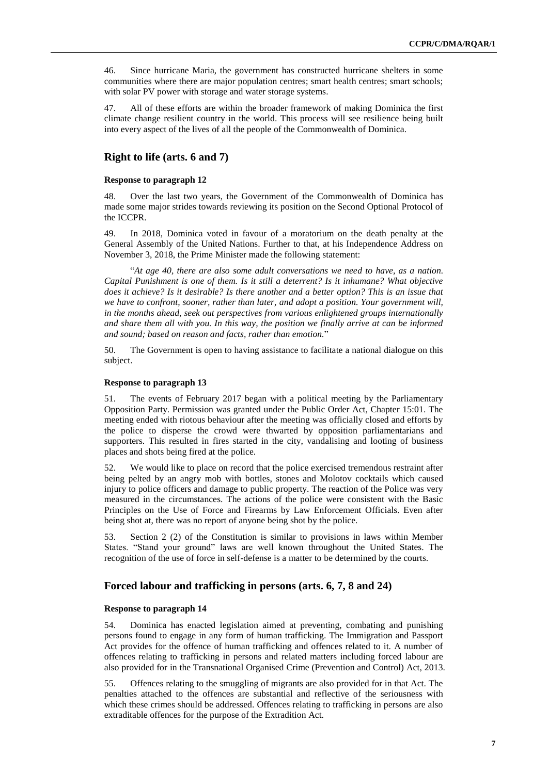46. Since hurricane Maria, the government has constructed hurricane shelters in some communities where there are major population centres; smart health centres; smart schools; with solar PV power with storage and water storage systems.

47. All of these efforts are within the broader framework of making Dominica the first climate change resilient country in the world. This process will see resilience being built into every aspect of the lives of all the people of the Commonwealth of Dominica.

# **Right to life (arts. 6 and 7)**

#### **Response to paragraph 12**

48. Over the last two years, the Government of the Commonwealth of Dominica has made some major strides towards reviewing its position on the Second Optional Protocol of the ICCPR.

49. In 2018, Dominica voted in favour of a moratorium on the death penalty at the General Assembly of the United Nations. Further to that, at his Independence Address on November 3, 2018, the Prime Minister made the following statement:

"*At age 40, there are also some adult conversations we need to have, as a nation. Capital Punishment is one of them. Is it still a deterrent? Is it inhumane? What objective does it achieve? Is it desirable? Is there another and a better option? This is an issue that we have to confront, sooner, rather than later, and adopt a position. Your government will, in the months ahead, seek out perspectives from various enlightened groups internationally and share them all with you. In this way, the position we finally arrive at can be informed and sound; based on reason and facts, rather than emotion.*"

50. The Government is open to having assistance to facilitate a national dialogue on this subject.

#### **Response to paragraph 13**

51. The events of February 2017 began with a political meeting by the Parliamentary Opposition Party. Permission was granted under the Public Order Act, Chapter 15:01. The meeting ended with riotous behaviour after the meeting was officially closed and efforts by the police to disperse the crowd were thwarted by opposition parliamentarians and supporters. This resulted in fires started in the city, vandalising and looting of business places and shots being fired at the police.

52. We would like to place on record that the police exercised tremendous restraint after being pelted by an angry mob with bottles, stones and Molotov cocktails which caused injury to police officers and damage to public property. The reaction of the Police was very measured in the circumstances. The actions of the police were consistent with the Basic Principles on the Use of Force and Firearms by Law Enforcement Officials. Even after being shot at, there was no report of anyone being shot by the police.

53. Section 2 (2) of the Constitution is similar to provisions in laws within Member States. "Stand your ground" laws are well known throughout the United States. The recognition of the use of force in self-defense is a matter to be determined by the courts.

## **Forced labour and trafficking in persons (arts. 6, 7, 8 and 24)**

## **Response to paragraph 14**

54. Dominica has enacted legislation aimed at preventing, combating and punishing persons found to engage in any form of human trafficking. The Immigration and Passport Act provides for the offence of human trafficking and offences related to it. A number of offences relating to trafficking in persons and related matters including forced labour are also provided for in the Transnational Organised Crime (Prevention and Control) Act, 2013.

55. Offences relating to the smuggling of migrants are also provided for in that Act. The penalties attached to the offences are substantial and reflective of the seriousness with which these crimes should be addressed. Offences relating to trafficking in persons are also extraditable offences for the purpose of the Extradition Act.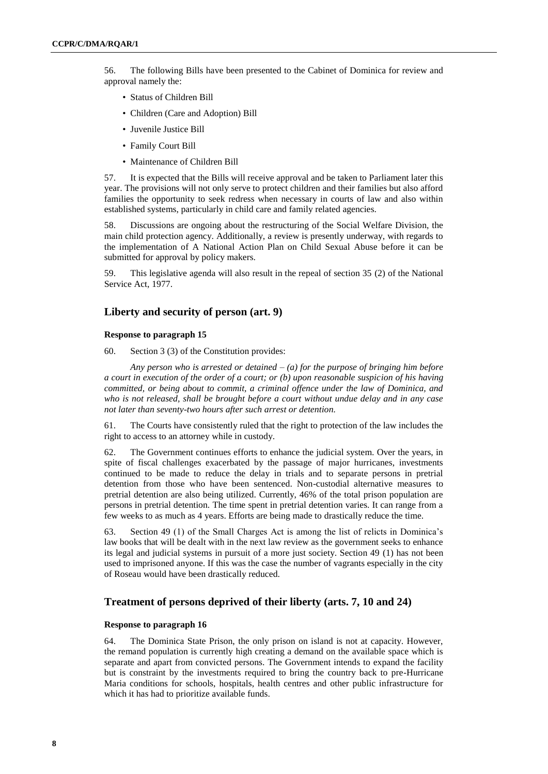56. The following Bills have been presented to the Cabinet of Dominica for review and approval namely the:

- Status of Children Bill
- Children (Care and Adoption) Bill
- Juvenile Justice Bill
- Family Court Bill
- Maintenance of Children Bill

57. It is expected that the Bills will receive approval and be taken to Parliament later this year. The provisions will not only serve to protect children and their families but also afford families the opportunity to seek redress when necessary in courts of law and also within established systems, particularly in child care and family related agencies.

58. Discussions are ongoing about the restructuring of the Social Welfare Division, the main child protection agency. Additionally, a review is presently underway, with regards to the implementation of A National Action Plan on Child Sexual Abuse before it can be submitted for approval by policy makers.

59. This legislative agenda will also result in the repeal of section 35 (2) of the National Service Act, 1977.

## **Liberty and security of person (art. 9)**

#### **Response to paragraph 15**

60. Section 3 (3) of the Constitution provides:

*Any person who is arrested or detained – (a) for the purpose of bringing him before a court in execution of the order of a court; or (b) upon reasonable suspicion of his having committed, or being about to commit, a criminal offence under the law of Dominica, and who is not released, shall be brought before a court without undue delay and in any case not later than seventy-two hours after such arrest or detention.*

61. The Courts have consistently ruled that the right to protection of the law includes the right to access to an attorney while in custody.

62. The Government continues efforts to enhance the judicial system. Over the years, in spite of fiscal challenges exacerbated by the passage of major hurricanes, investments continued to be made to reduce the delay in trials and to separate persons in pretrial detention from those who have been sentenced. Non-custodial alternative measures to pretrial detention are also being utilized. Currently, 46% of the total prison population are persons in pretrial detention. The time spent in pretrial detention varies. It can range from a few weeks to as much as 4 years. Efforts are being made to drastically reduce the time.

63. Section 49 (1) of the Small Charges Act is among the list of relicts in Dominica's law books that will be dealt with in the next law review as the government seeks to enhance its legal and judicial systems in pursuit of a more just society. Section 49 (1) has not been used to imprisoned anyone. If this was the case the number of vagrants especially in the city of Roseau would have been drastically reduced.

## **Treatment of persons deprived of their liberty (arts. 7, 10 and 24)**

#### **Response to paragraph 16**

64. The Dominica State Prison, the only prison on island is not at capacity. However, the remand population is currently high creating a demand on the available space which is separate and apart from convicted persons. The Government intends to expand the facility but is constraint by the investments required to bring the country back to pre-Hurricane Maria conditions for schools, hospitals, health centres and other public infrastructure for which it has had to prioritize available funds.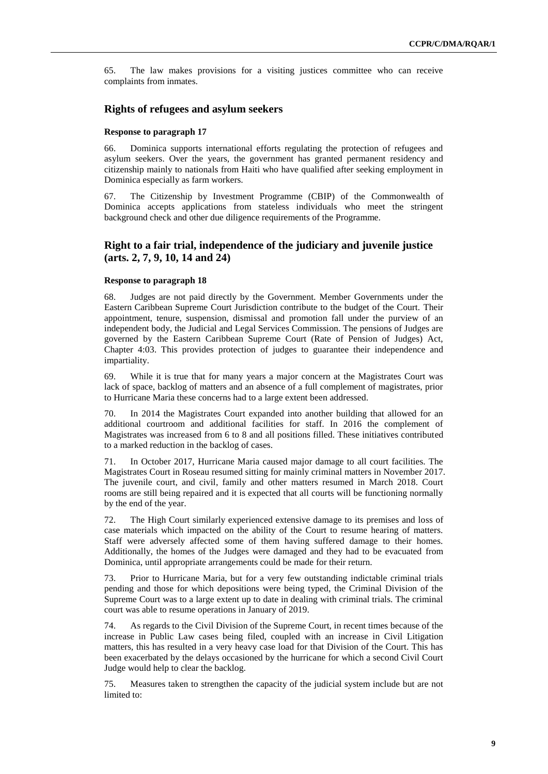65. The law makes provisions for a visiting justices committee who can receive complaints from inmates.

## **Rights of refugees and asylum seekers**

#### **Response to paragraph 17**

66. Dominica supports international efforts regulating the protection of refugees and asylum seekers. Over the years, the government has granted permanent residency and citizenship mainly to nationals from Haiti who have qualified after seeking employment in Dominica especially as farm workers.

67. The Citizenship by Investment Programme (CBIP) of the Commonwealth of Dominica accepts applications from stateless individuals who meet the stringent background check and other due diligence requirements of the Programme.

# **Right to a fair trial, independence of the judiciary and juvenile justice (arts. 2, 7, 9, 10, 14 and 24)**

#### **Response to paragraph 18**

68. Judges are not paid directly by the Government. Member Governments under the Eastern Caribbean Supreme Court Jurisdiction contribute to the budget of the Court. Their appointment, tenure, suspension, dismissal and promotion fall under the purview of an independent body, the Judicial and Legal Services Commission. The pensions of Judges are governed by the Eastern Caribbean Supreme Court (Rate of Pension of Judges) Act, Chapter 4:03. This provides protection of judges to guarantee their independence and impartiality.

69. While it is true that for many years a major concern at the Magistrates Court was lack of space, backlog of matters and an absence of a full complement of magistrates, prior to Hurricane Maria these concerns had to a large extent been addressed.

70. In 2014 the Magistrates Court expanded into another building that allowed for an additional courtroom and additional facilities for staff. In 2016 the complement of Magistrates was increased from 6 to 8 and all positions filled. These initiatives contributed to a marked reduction in the backlog of cases.

71. In October 2017, Hurricane Maria caused major damage to all court facilities. The Magistrates Court in Roseau resumed sitting for mainly criminal matters in November 2017. The juvenile court, and civil, family and other matters resumed in March 2018. Court rooms are still being repaired and it is expected that all courts will be functioning normally by the end of the year.

72. The High Court similarly experienced extensive damage to its premises and loss of case materials which impacted on the ability of the Court to resume hearing of matters. Staff were adversely affected some of them having suffered damage to their homes. Additionally, the homes of the Judges were damaged and they had to be evacuated from Dominica, until appropriate arrangements could be made for their return.

73. Prior to Hurricane Maria, but for a very few outstanding indictable criminal trials pending and those for which depositions were being typed, the Criminal Division of the Supreme Court was to a large extent up to date in dealing with criminal trials. The criminal court was able to resume operations in January of 2019.

74. As regards to the Civil Division of the Supreme Court, in recent times because of the increase in Public Law cases being filed, coupled with an increase in Civil Litigation matters, this has resulted in a very heavy case load for that Division of the Court. This has been exacerbated by the delays occasioned by the hurricane for which a second Civil Court Judge would help to clear the backlog.

75. Measures taken to strengthen the capacity of the judicial system include but are not limited to: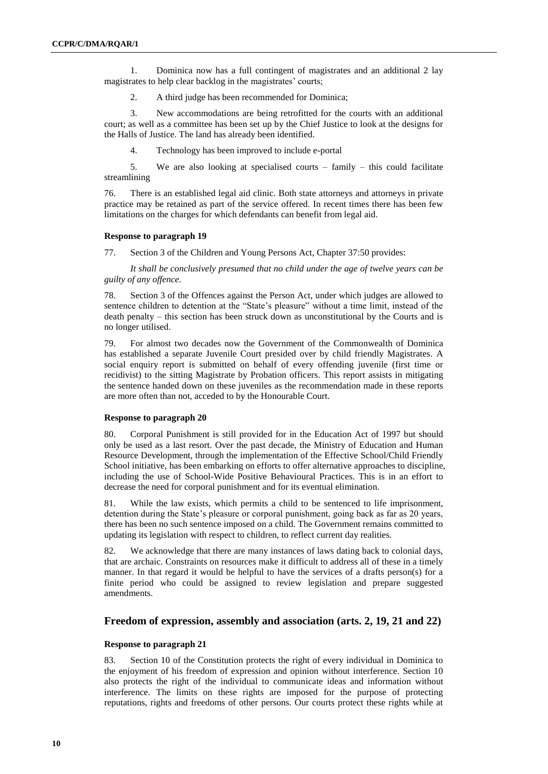1. Dominica now has a full contingent of magistrates and an additional 2 lay magistrates to help clear backlog in the magistrates' courts;

2. A third judge has been recommended for Dominica;

3. New accommodations are being retrofitted for the courts with an additional court; as well as a committee has been set up by the Chief Justice to look at the designs for the Halls of Justice. The land has already been identified.

4. Technology has been improved to include e-portal

5. We are also looking at specialised courts – family – this could facilitate streamlining

76. There is an established legal aid clinic. Both state attorneys and attorneys in private practice may be retained as part of the service offered. In recent times there has been few limitations on the charges for which defendants can benefit from legal aid.

#### **Response to paragraph 19**

77. Section 3 of the Children and Young Persons Act, Chapter 37:50 provides:

*It shall be conclusively presumed that no child under the age of twelve years can be guilty of any offence.*

78. Section 3 of the Offences against the Person Act, under which judges are allowed to sentence children to detention at the "State's pleasure" without a time limit, instead of the death penalty – this section has been struck down as unconstitutional by the Courts and is no longer utilised.

79. For almost two decades now the Government of the Commonwealth of Dominica has established a separate Juvenile Court presided over by child friendly Magistrates. A social enquiry report is submitted on behalf of every offending juvenile (first time or recidivist) to the sitting Magistrate by Probation officers. This report assists in mitigating the sentence handed down on these juveniles as the recommendation made in these reports are more often than not, acceded to by the Honourable Court.

## **Response to paragraph 20**

80. Corporal Punishment is still provided for in the Education Act of 1997 but should only be used as a last resort. Over the past decade, the Ministry of Education and Human Resource Development, through the implementation of the Effective School/Child Friendly School initiative, has been embarking on efforts to offer alternative approaches to discipline, including the use of School-Wide Positive Behavioural Practices. This is in an effort to decrease the need for corporal punishment and for its eventual elimination.

81. While the law exists, which permits a child to be sentenced to life imprisonment, detention during the State's pleasure or corporal punishment, going back as far as 20 years, there has been no such sentence imposed on a child. The Government remains committed to updating its legislation with respect to children, to reflect current day realities.

82. We acknowledge that there are many instances of laws dating back to colonial days, that are archaic. Constraints on resources make it difficult to address all of these in a timely manner. In that regard it would be helpful to have the services of a drafts person(s) for a finite period who could be assigned to review legislation and prepare suggested amendments.

## **Freedom of expression, assembly and association (arts. 2, 19, 21 and 22)**

## **Response to paragraph 21**

83. Section 10 of the Constitution protects the right of every individual in Dominica to the enjoyment of his freedom of expression and opinion without interference. Section 10 also protects the right of the individual to communicate ideas and information without interference. The limits on these rights are imposed for the purpose of protecting reputations, rights and freedoms of other persons. Our courts protect these rights while at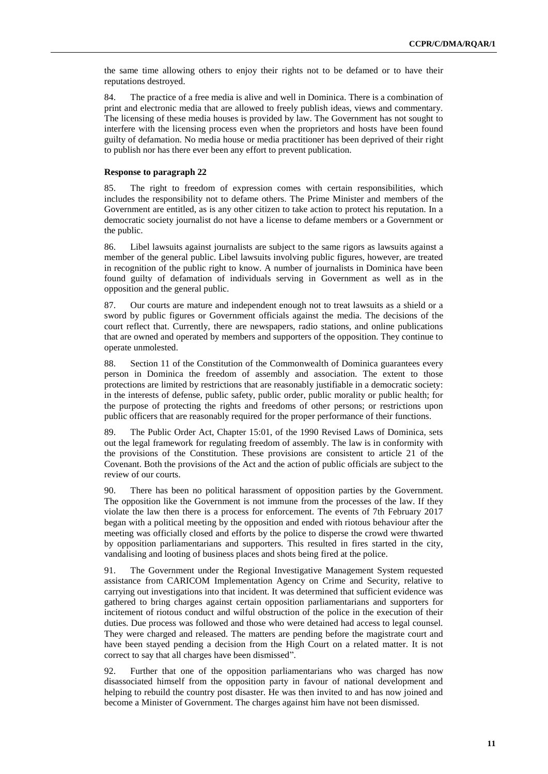the same time allowing others to enjoy their rights not to be defamed or to have their reputations destroyed.

84. The practice of a free media is alive and well in Dominica. There is a combination of print and electronic media that are allowed to freely publish ideas, views and commentary. The licensing of these media houses is provided by law. The Government has not sought to interfere with the licensing process even when the proprietors and hosts have been found guilty of defamation. No media house or media practitioner has been deprived of their right to publish nor has there ever been any effort to prevent publication.

#### **Response to paragraph 22**

85. The right to freedom of expression comes with certain responsibilities, which includes the responsibility not to defame others. The Prime Minister and members of the Government are entitled, as is any other citizen to take action to protect his reputation. In a democratic society journalist do not have a license to defame members or a Government or the public.

86. Libel lawsuits against journalists are subject to the same rigors as lawsuits against a member of the general public. Libel lawsuits involving public figures, however, are treated in recognition of the public right to know. A number of journalists in Dominica have been found guilty of defamation of individuals serving in Government as well as in the opposition and the general public.

87. Our courts are mature and independent enough not to treat lawsuits as a shield or a sword by public figures or Government officials against the media. The decisions of the court reflect that. Currently, there are newspapers, radio stations, and online publications that are owned and operated by members and supporters of the opposition. They continue to operate unmolested.

88. Section 11 of the Constitution of the Commonwealth of Dominica guarantees every person in Dominica the freedom of assembly and association. The extent to those protections are limited by restrictions that are reasonably justifiable in a democratic society: in the interests of defense, public safety, public order, public morality or public health; for the purpose of protecting the rights and freedoms of other persons; or restrictions upon public officers that are reasonably required for the proper performance of their functions.

89. The Public Order Act, Chapter 15:01, of the 1990 Revised Laws of Dominica, sets out the legal framework for regulating freedom of assembly. The law is in conformity with the provisions of the Constitution. These provisions are consistent to article 21 of the Covenant. Both the provisions of the Act and the action of public officials are subject to the review of our courts.

90. There has been no political harassment of opposition parties by the Government. The opposition like the Government is not immune from the processes of the law. If they violate the law then there is a process for enforcement. The events of 7th February 2017 began with a political meeting by the opposition and ended with riotous behaviour after the meeting was officially closed and efforts by the police to disperse the crowd were thwarted by opposition parliamentarians and supporters. This resulted in fires started in the city, vandalising and looting of business places and shots being fired at the police.

91. The Government under the Regional Investigative Management System requested assistance from CARICOM Implementation Agency on Crime and Security, relative to carrying out investigations into that incident. It was determined that sufficient evidence was gathered to bring charges against certain opposition parliamentarians and supporters for incitement of riotous conduct and wilful obstruction of the police in the execution of their duties. Due process was followed and those who were detained had access to legal counsel. They were charged and released. The matters are pending before the magistrate court and have been stayed pending a decision from the High Court on a related matter. It is not correct to say that all charges have been dismissed".

92. Further that one of the opposition parliamentarians who was charged has now disassociated himself from the opposition party in favour of national development and helping to rebuild the country post disaster. He was then invited to and has now joined and become a Minister of Government. The charges against him have not been dismissed.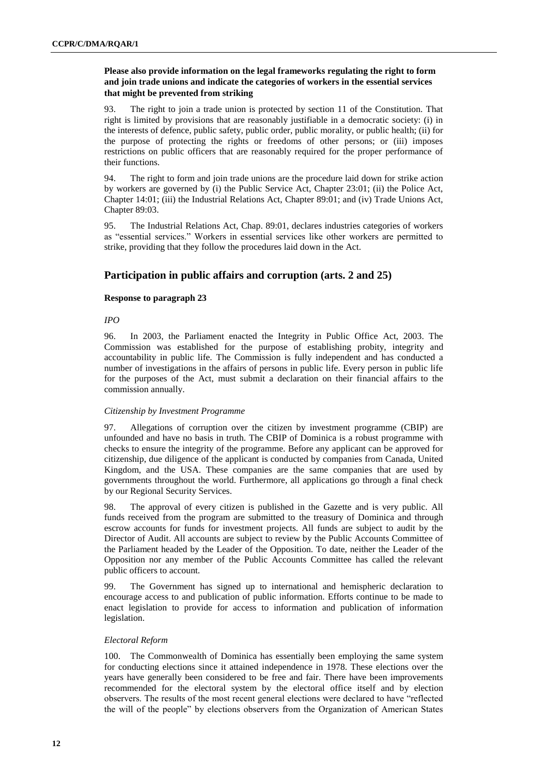## **Please also provide information on the legal frameworks regulating the right to form and join trade unions and indicate the categories of workers in the essential services that might be prevented from striking**

93. The right to join a trade union is protected by section 11 of the Constitution. That right is limited by provisions that are reasonably justifiable in a democratic society: (i) in the interests of defence, public safety, public order, public morality, or public health; (ii) for the purpose of protecting the rights or freedoms of other persons; or (iii) imposes restrictions on public officers that are reasonably required for the proper performance of their functions.

94. The right to form and join trade unions are the procedure laid down for strike action by workers are governed by (i) the Public Service Act, Chapter 23:01; (ii) the Police Act, Chapter 14:01; (iii) the Industrial Relations Act, Chapter 89:01; and (iv) Trade Unions Act, Chapter 89:03.

95. The Industrial Relations Act, Chap. 89:01, declares industries categories of workers as "essential services." Workers in essential services like other workers are permitted to strike, providing that they follow the procedures laid down in the Act.

# **Participation in public affairs and corruption (arts. 2 and 25)**

## **Response to paragraph 23**

## *IPO*

96. In 2003, the Parliament enacted the Integrity in Public Office Act, 2003. The Commission was established for the purpose of establishing probity, integrity and accountability in public life. The Commission is fully independent and has conducted a number of investigations in the affairs of persons in public life. Every person in public life for the purposes of the Act, must submit a declaration on their financial affairs to the commission annually.

## *Citizenship by Investment Programme*

97. Allegations of corruption over the citizen by investment programme (CBIP) are unfounded and have no basis in truth. The CBIP of Dominica is a robust programme with checks to ensure the integrity of the programme. Before any applicant can be approved for citizenship, due diligence of the applicant is conducted by companies from Canada, United Kingdom, and the USA. These companies are the same companies that are used by governments throughout the world. Furthermore, all applications go through a final check by our Regional Security Services.

98. The approval of every citizen is published in the Gazette and is very public. All funds received from the program are submitted to the treasury of Dominica and through escrow accounts for funds for investment projects. All funds are subject to audit by the Director of Audit. All accounts are subject to review by the Public Accounts Committee of the Parliament headed by the Leader of the Opposition. To date, neither the Leader of the Opposition nor any member of the Public Accounts Committee has called the relevant public officers to account.

99. The Government has signed up to international and hemispheric declaration to encourage access to and publication of public information. Efforts continue to be made to enact legislation to provide for access to information and publication of information legislation.

## *Electoral Reform*

100. The Commonwealth of Dominica has essentially been employing the same system for conducting elections since it attained independence in 1978. These elections over the years have generally been considered to be free and fair. There have been improvements recommended for the electoral system by the electoral office itself and by election observers. The results of the most recent general elections were declared to have "reflected the will of the people" by elections observers from the Organization of American States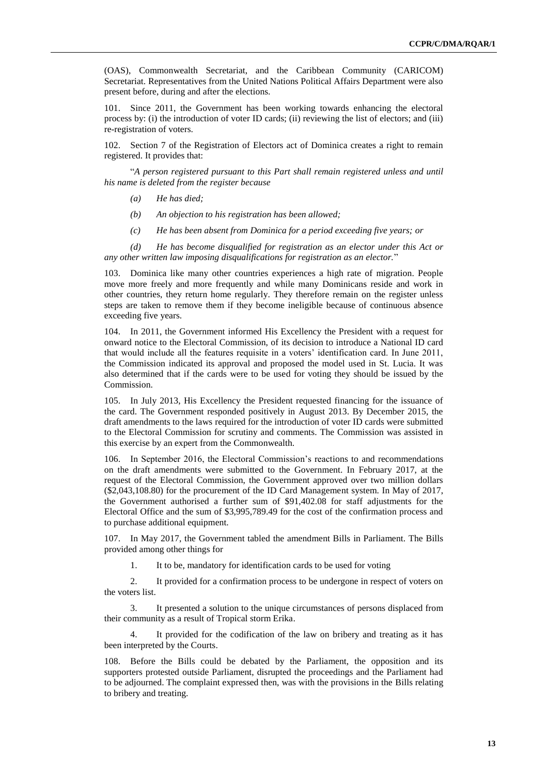(OAS), Commonwealth Secretariat, and the Caribbean Community (CARICOM) Secretariat. Representatives from the United Nations Political Affairs Department were also present before, during and after the elections.

Since 2011, the Government has been working towards enhancing the electoral process by: (i) the introduction of voter ID cards; (ii) reviewing the list of electors; and (iii) re-registration of voters.

102. Section 7 of the Registration of Electors act of Dominica creates a right to remain registered. It provides that:

"*A person registered pursuant to this Part shall remain registered unless and until his name is deleted from the register because*

- *(a) He has died;*
- *(b) An objection to his registration has been allowed;*
- *(c) He has been absent from Dominica for a period exceeding five years; or*

*(d) He has become disqualified for registration as an elector under this Act or any other written law imposing disqualifications for registration as an elector.*"

103. Dominica like many other countries experiences a high rate of migration. People move more freely and more frequently and while many Dominicans reside and work in other countries, they return home regularly. They therefore remain on the register unless steps are taken to remove them if they become ineligible because of continuous absence exceeding five years.

104. In 2011, the Government informed His Excellency the President with a request for onward notice to the Electoral Commission, of its decision to introduce a National ID card that would include all the features requisite in a voters' identification card. In June 2011, the Commission indicated its approval and proposed the model used in St. Lucia. It was also determined that if the cards were to be used for voting they should be issued by the Commission.

105. In July 2013, His Excellency the President requested financing for the issuance of the card. The Government responded positively in August 2013. By December 2015, the draft amendments to the laws required for the introduction of voter ID cards were submitted to the Electoral Commission for scrutiny and comments. The Commission was assisted in this exercise by an expert from the Commonwealth.

106. In September 2016, the Electoral Commission's reactions to and recommendations on the draft amendments were submitted to the Government. In February 2017, at the request of the Electoral Commission, the Government approved over two million dollars (\$2,043,108.80) for the procurement of the ID Card Management system. In May of 2017, the Government authorised a further sum of \$91,402.08 for staff adjustments for the Electoral Office and the sum of \$3,995,789.49 for the cost of the confirmation process and to purchase additional equipment.

107. In May 2017, the Government tabled the amendment Bills in Parliament. The Bills provided among other things for

1. It to be, mandatory for identification cards to be used for voting

2. It provided for a confirmation process to be undergone in respect of voters on the voters list.

3. It presented a solution to the unique circumstances of persons displaced from their community as a result of Tropical storm Erika.

It provided for the codification of the law on bribery and treating as it has been interpreted by the Courts.

108. Before the Bills could be debated by the Parliament, the opposition and its supporters protested outside Parliament, disrupted the proceedings and the Parliament had to be adjourned. The complaint expressed then, was with the provisions in the Bills relating to bribery and treating.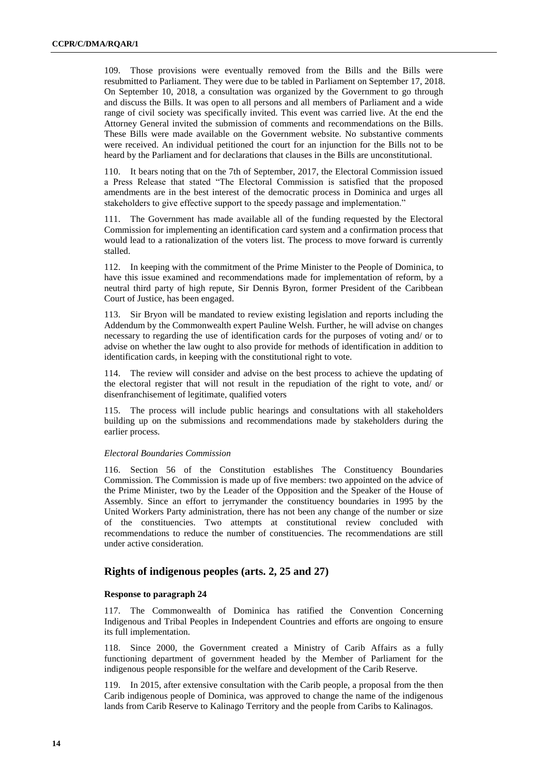109. Those provisions were eventually removed from the Bills and the Bills were resubmitted to Parliament. They were due to be tabled in Parliament on September 17, 2018. On September 10, 2018, a consultation was organized by the Government to go through and discuss the Bills. It was open to all persons and all members of Parliament and a wide range of civil society was specifically invited. This event was carried live. At the end the Attorney General invited the submission of comments and recommendations on the Bills. These Bills were made available on the Government website. No substantive comments were received. An individual petitioned the court for an injunction for the Bills not to be heard by the Parliament and for declarations that clauses in the Bills are unconstitutional.

110. It bears noting that on the 7th of September, 2017, the Electoral Commission issued a Press Release that stated "The Electoral Commission is satisfied that the proposed amendments are in the best interest of the democratic process in Dominica and urges all stakeholders to give effective support to the speedy passage and implementation."

111. The Government has made available all of the funding requested by the Electoral Commission for implementing an identification card system and a confirmation process that would lead to a rationalization of the voters list. The process to move forward is currently stalled.

112. In keeping with the commitment of the Prime Minister to the People of Dominica, to have this issue examined and recommendations made for implementation of reform, by a neutral third party of high repute, Sir Dennis Byron, former President of the Caribbean Court of Justice, has been engaged.

113. Sir Bryon will be mandated to review existing legislation and reports including the Addendum by the Commonwealth expert Pauline Welsh. Further, he will advise on changes necessary to regarding the use of identification cards for the purposes of voting and/ or to advise on whether the law ought to also provide for methods of identification in addition to identification cards, in keeping with the constitutional right to vote.

114. The review will consider and advise on the best process to achieve the updating of the electoral register that will not result in the repudiation of the right to vote, and/ or disenfranchisement of legitimate, qualified voters

115. The process will include public hearings and consultations with all stakeholders building up on the submissions and recommendations made by stakeholders during the earlier process.

## *Electoral Boundaries Commission*

116. Section 56 of the Constitution establishes The Constituency Boundaries Commission. The Commission is made up of five members: two appointed on the advice of the Prime Minister, two by the Leader of the Opposition and the Speaker of the House of Assembly. Since an effort to jerrymander the constituency boundaries in 1995 by the United Workers Party administration, there has not been any change of the number or size of the constituencies. Two attempts at constitutional review concluded with recommendations to reduce the number of constituencies. The recommendations are still under active consideration.

# **Rights of indigenous peoples (arts. 2, 25 and 27)**

#### **Response to paragraph 24**

117. The Commonwealth of Dominica has ratified the Convention Concerning Indigenous and Tribal Peoples in Independent Countries and efforts are ongoing to ensure its full implementation.

118. Since 2000, the Government created a Ministry of Carib Affairs as a fully functioning department of government headed by the Member of Parliament for the indigenous people responsible for the welfare and development of the Carib Reserve.

119. In 2015, after extensive consultation with the Carib people, a proposal from the then Carib indigenous people of Dominica, was approved to change the name of the indigenous lands from Carib Reserve to Kalinago Territory and the people from Caribs to Kalinagos.